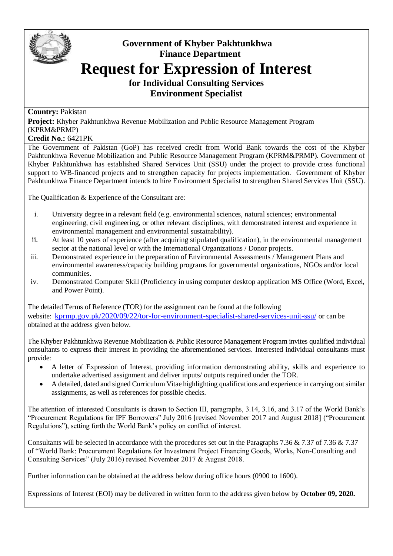

## **Government of Khyber Pakhtunkhwa Finance Department Request for Expression of Interest**

**for Individual Consulting Services Environment Specialist**

## **Country:** Pakistan

**Project:** Khyber Pakhtunkhwa Revenue Mobilization and Public Resource Management Program (KPRM&PRMP)

## **Credit No.:** 6421PK

The Government of Pakistan (GoP) has received credit from World Bank towards the cost of the Khyber Pakhtunkhwa Revenue Mobilization and Public Resource Management Program (KPRM&PRMP). Government of Khyber Pakhtunkhwa has established Shared Services Unit (SSU) under the project to provide cross functional support to WB-financed projects and to strengthen capacity for projects implementation. Government of Khyber Pakhtunkhwa Finance Department intends to hire Environment Specialist to strengthen Shared Services Unit (SSU).

The Qualification & Experience of the Consultant are:

- i. University degree in a relevant field (e.g. environmental sciences, natural sciences; environmental engineering, civil engineering, or other relevant disciplines, with demonstrated interest and experience in environmental management and environmental sustainability).
- ii. At least 10 years of experience (after acquiring stipulated qualification), in the environmental management sector at the national level or with the International Organizations / Donor projects.
- iii. Demonstrated experience in the preparation of Environmental Assessments / Management Plans and environmental awareness/capacity building programs for governmental organizations, NGOs and/or local communities.
- iv. Demonstrated Computer Skill (Proficiency in using computer desktop application MS Office (Word, Excel, and Power Point).

The detailed Terms of Reference (TOR) for the assignment can be found at the following website: [kprmp.gov.pk/2020/09/22/tor-for-environment-specialist-shared-services-unit-ssu/](https://kprmp.gov.pk/2020/09/22/tor-for-environment-specialist-shared-services-unit-ssu/) or can be obtained at the address given below*.*

The Khyber Pakhtunkhwa Revenue Mobilization & Public Resource Management Program invites qualified individual consultants to express their interest in providing the aforementioned services. Interested individual consultants must provide:

- A letter of Expression of Interest, providing information demonstrating ability, skills and experience to undertake advertised assignment and deliver inputs/ outputs required under the TOR.
- A detailed, dated and signed Curriculum Vitae highlighting qualifications and experience in carrying out similar assignments, as well as references for possible checks.

The attention of interested Consultants is drawn to Section III, paragraphs, 3.14, 3.16, and 3.17 of the World Bank's "Procurement Regulations for IPF Borrowers" July 2016 [revised November 2017 and August 2018] ("Procurement Regulations"), setting forth the World Bank's policy on conflict of interest.

Consultants will be selected in accordance with the procedures set out in the Paragraphs 7.36 & 7.37 of 7.36 & 7.37 of "World Bank: Procurement Regulations for Investment Project Financing Goods, Works, Non-Consulting and Consulting Services" (July 2016) revised November 2017 & August 2018.

Further information can be obtained at the address below during office hours (0900 to 1600).

Expressions of Interest (EOI) may be delivered in written form to the address given below by **October 09, 2020.**